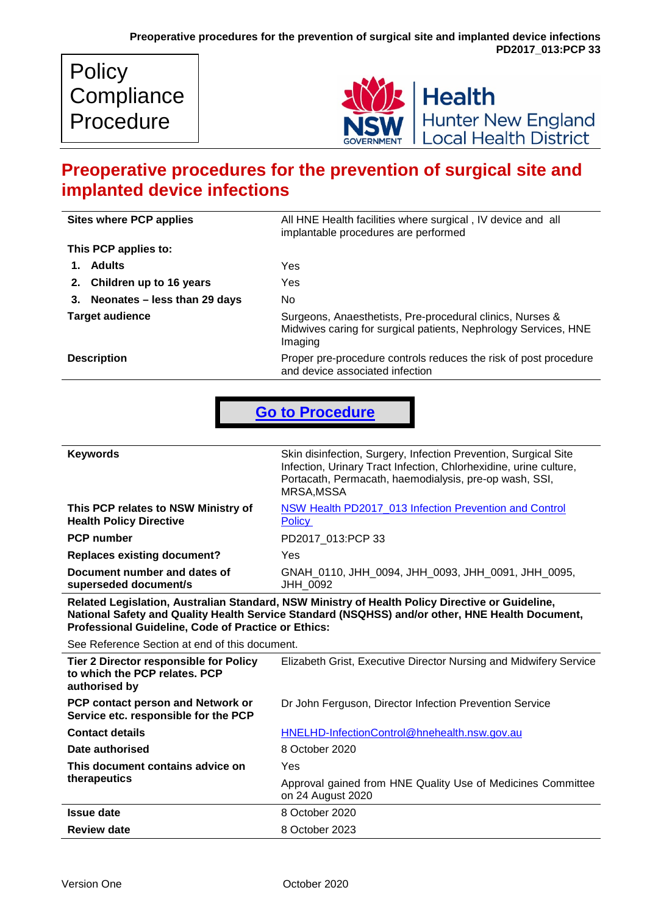| <b>Policy</b> |
|---------------|
| Compliance    |
| Procedure     |



# **Preoperative procedures for the prevention of surgical site and implanted device infections**

| <b>Sites where PCP applies</b>  | All HNE Health facilities where surgical, IV device and all<br>implantable procedures are performed                                     |
|---------------------------------|-----------------------------------------------------------------------------------------------------------------------------------------|
| This PCP applies to:            |                                                                                                                                         |
| 1. Adults                       | Yes                                                                                                                                     |
| 2. Children up to 16 years      | Yes                                                                                                                                     |
| 3. Neonates - less than 29 days | No.                                                                                                                                     |
| <b>Target audience</b>          | Surgeons, Anaesthetists, Pre-procedural clinics, Nurses &<br>Midwives caring for surgical patients, Nephrology Services, HNE<br>Imaging |
| <b>Description</b>              | Proper pre-procedure controls reduces the risk of post procedure<br>and device associated infection                                     |

**[Go to Procedure](#page-2-0)**

| This PCP relates to NSW Ministry of<br>NSW Health PD2017 013 Infection Prevention and Control<br><b>Health Policy Directive</b><br><b>Policy</b> | <b>Keywords</b>   | Skin disinfection, Surgery, Infection Prevention, Surgical Site<br>Infection, Urinary Tract Infection, Chlorhexidine, urine culture,<br>Portacath, Permacath, haemodialysis, pre-op wash, SSI,<br>MRSA, MSSA |
|--------------------------------------------------------------------------------------------------------------------------------------------------|-------------------|--------------------------------------------------------------------------------------------------------------------------------------------------------------------------------------------------------------|
|                                                                                                                                                  |                   |                                                                                                                                                                                                              |
|                                                                                                                                                  | <b>PCP</b> number | PD2017 013:PCP 33                                                                                                                                                                                            |
| <b>Replaces existing document?</b><br>Yes                                                                                                        |                   |                                                                                                                                                                                                              |
| Document number and dates of<br>GNAH_0110, JHH_0094, JHH_0093, JHH_0091, JHH_0095,<br>superseded document/s<br><b>JHH 0092</b>                   |                   |                                                                                                                                                                                                              |

**Related Legislation, Australian Standard, NSW Ministry of Health Policy Directive or Guideline, National Safety and Quality Health Service Standard (NSQHSS) and/or other, HNE Health Document, Professional Guideline, Code of Practice or Ethics:**

See Reference Section at end of this document.

| Tier 2 Director responsible for Policy<br>to which the PCP relates. PCP<br>authorised by | Elizabeth Grist, Executive Director Nursing and Midwifery Service                |
|------------------------------------------------------------------------------------------|----------------------------------------------------------------------------------|
| PCP contact person and Network or<br>Service etc. responsible for the PCP                | Dr John Ferguson, Director Infection Prevention Service                          |
| <b>Contact details</b>                                                                   | HNELHD-InfectionControl@hnehealth.nsw.gov.au                                     |
| Date authorised                                                                          | 8 October 2020                                                                   |
| This document contains advice on                                                         | Yes                                                                              |
| therapeutics                                                                             | Approval gained from HNE Quality Use of Medicines Committee<br>on 24 August 2020 |
| <b>Issue date</b>                                                                        | 8 October 2020                                                                   |
| <b>Review date</b>                                                                       | 8 October 2023                                                                   |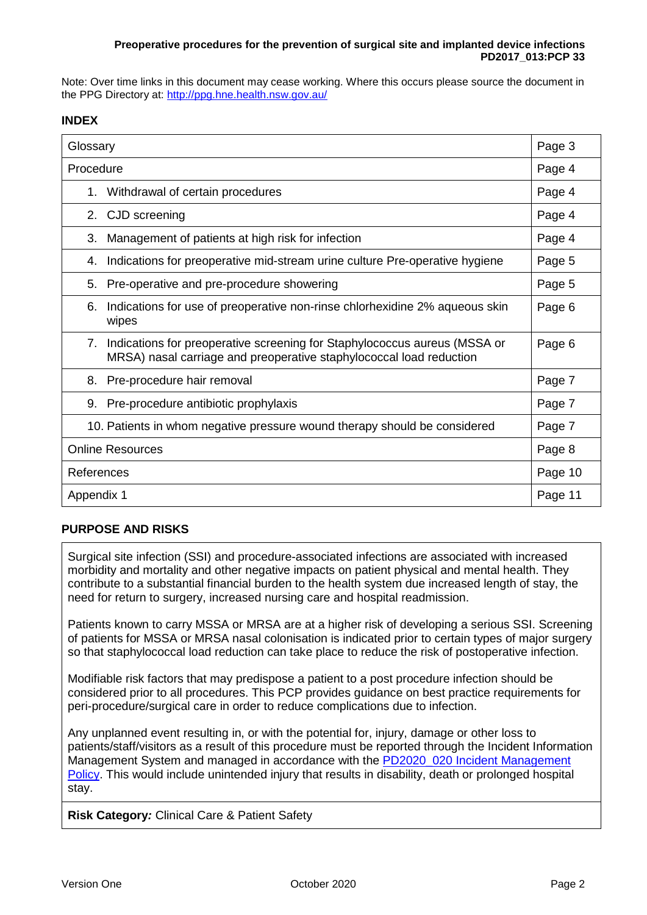#### **Preoperative procedures for the prevention of surgical site and implanted device infections PD2017\_013:PCP 33**

Note: Over time links in this document may cease working. Where this occurs please source the document in the PPG Directory at:<http://ppg.hne.health.nsw.gov.au/>

# **INDEX**

| Glossary                                                                                                                                               | Page 3  |
|--------------------------------------------------------------------------------------------------------------------------------------------------------|---------|
| Procedure                                                                                                                                              | Page 4  |
| Withdrawal of certain procedures<br>1.                                                                                                                 | Page 4  |
| 2. CJD screening                                                                                                                                       | Page 4  |
| 3.<br>Management of patients at high risk for infection                                                                                                | Page 4  |
| Indications for preoperative mid-stream urine culture Pre-operative hygiene<br>4.                                                                      | Page 5  |
| Pre-operative and pre-procedure showering<br>5.                                                                                                        | Page 5  |
| Indications for use of preoperative non-rinse chlorhexidine 2% aqueous skin<br>6.<br>wipes                                                             | Page 6  |
| Indications for preoperative screening for Staphylococcus aureus (MSSA or<br>7.<br>MRSA) nasal carriage and preoperative staphylococcal load reduction | Page 6  |
| Pre-procedure hair removal<br>8.                                                                                                                       | Page 7  |
| 9. Pre-procedure antibiotic prophylaxis                                                                                                                | Page 7  |
| 10. Patients in whom negative pressure wound therapy should be considered                                                                              | Page 7  |
| <b>Online Resources</b>                                                                                                                                | Page 8  |
| References                                                                                                                                             | Page 10 |
| Appendix 1                                                                                                                                             | Page 11 |

# **PURPOSE AND RISKS**

Surgical site infection (SSI) and procedure-associated infections are associated with increased morbidity and mortality and other negative impacts on patient physical and mental health. They contribute to a substantial financial burden to the health system due increased length of stay, the need for return to surgery, increased nursing care and hospital readmission.

Patients known to carry MSSA or MRSA are at a higher risk of developing a serious SSI. Screening of patients for MSSA or MRSA nasal colonisation is indicated prior to certain types of major surgery so that staphylococcal load reduction can take place to reduce the risk of postoperative infection.

Modifiable risk factors that may predispose a patient to a post procedure infection should be considered prior to all procedures. This PCP provides guidance on best practice requirements for peri-procedure/surgical care in order to reduce complications due to infection.

Any unplanned event resulting in, or with the potential for, injury, damage or other loss to patients/staff/visitors as a result of this procedure must be reported through the Incident Information Management System and managed in accordance with the [PD2020\\_020 Incident Management](https://www1.health.nsw.gov.au/pds/Pages/doc.aspx?dn=PD2020_020) [Policy.](https://www1.health.nsw.gov.au/pds/Pages/doc.aspx?dn=PD2020_020) This would include unintended injury that results in disability, death or prolonged hospital stay.

**Risk Category***:* Clinical Care & Patient Safety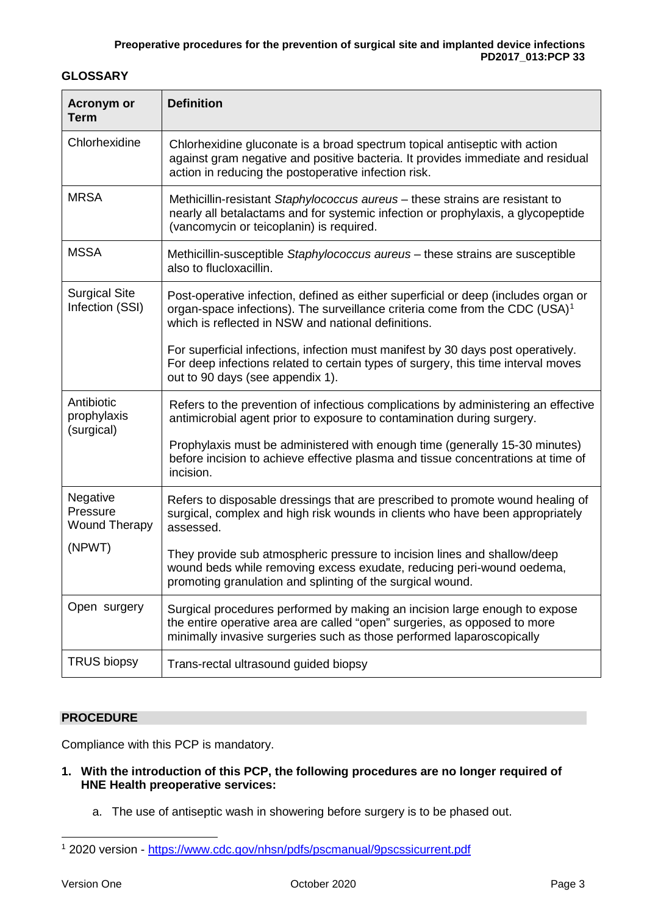# **GLOSSARY**

| <b>Acronym or</b><br><b>Term</b>             | <b>Definition</b>                                                                                                                                                                                                                |
|----------------------------------------------|----------------------------------------------------------------------------------------------------------------------------------------------------------------------------------------------------------------------------------|
| Chlorhexidine                                | Chlorhexidine gluconate is a broad spectrum topical antiseptic with action<br>against gram negative and positive bacteria. It provides immediate and residual<br>action in reducing the postoperative infection risk.            |
| <b>MRSA</b>                                  | Methicillin-resistant Staphylococcus aureus - these strains are resistant to<br>nearly all betalactams and for systemic infection or prophylaxis, a glycopeptide<br>(vancomycin or teicoplanin) is required.                     |
| <b>MSSA</b>                                  | Methicillin-susceptible Staphylococcus aureus - these strains are susceptible<br>also to flucloxacillin.                                                                                                                         |
| <b>Surgical Site</b><br>Infection (SSI)      | Post-operative infection, defined as either superficial or deep (includes organ or<br>organ-space infections). The surveillance criteria come from the CDC (USA) $1$<br>which is reflected in NSW and national definitions.      |
|                                              | For superficial infections, infection must manifest by 30 days post operatively.<br>For deep infections related to certain types of surgery, this time interval moves<br>out to 90 days (see appendix 1).                        |
| Antibiotic<br>prophylaxis<br>(surgical)      | Refers to the prevention of infectious complications by administering an effective<br>antimicrobial agent prior to exposure to contamination during surgery.                                                                     |
|                                              | Prophylaxis must be administered with enough time (generally 15-30 minutes)<br>before incision to achieve effective plasma and tissue concentrations at time of<br>incision.                                                     |
| Negative<br>Pressure<br><b>Wound Therapy</b> | Refers to disposable dressings that are prescribed to promote wound healing of<br>surgical, complex and high risk wounds in clients who have been appropriately<br>assessed.                                                     |
| (NPWT)                                       | They provide sub atmospheric pressure to incision lines and shallow/deep<br>wound beds while removing excess exudate, reducing peri-wound oedema,<br>promoting granulation and splinting of the surgical wound.                  |
| Open surgery                                 | Surgical procedures performed by making an incision large enough to expose<br>the entire operative area are called "open" surgeries, as opposed to more<br>minimally invasive surgeries such as those performed laparoscopically |
| <b>TRUS biopsy</b>                           | Trans-rectal ultrasound guided biopsy                                                                                                                                                                                            |

# <span id="page-2-0"></span>**PROCEDURE**

Compliance with this PCP is mandatory.

- **1. With the introduction of this PCP, the following procedures are no longer required of HNE Health preoperative services:**
	- a. The use of antiseptic wash in showering before surgery is to be phased out.

-

<span id="page-2-1"></span><sup>1</sup> 2020 version - <https://www.cdc.gov/nhsn/pdfs/pscmanual/9pscssicurrent.pdf>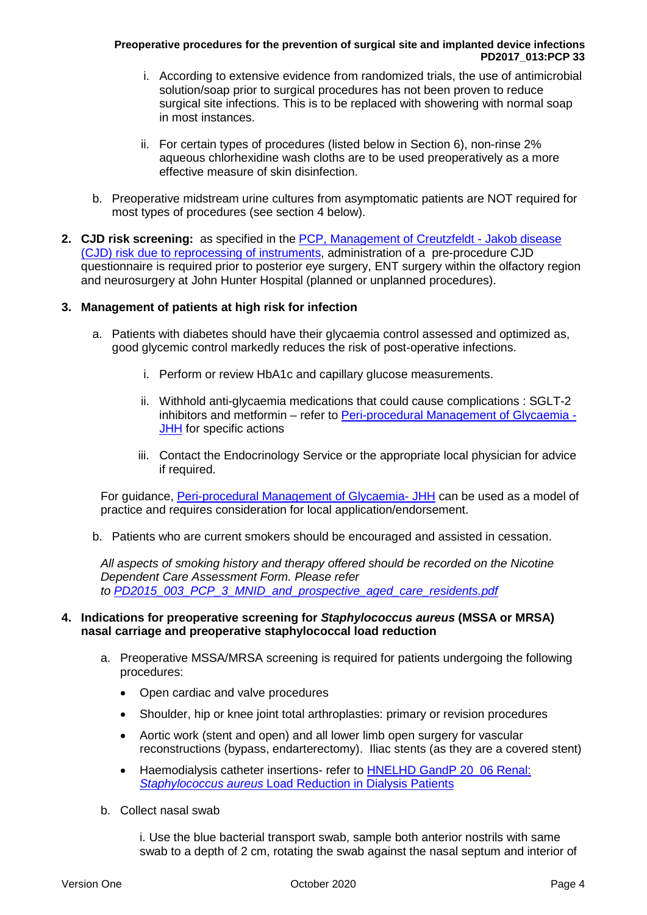#### **Preoperative procedures for the prevention of surgical site and implanted device infections PD2017\_013:PCP 33**

- i. According to extensive evidence from randomized trials, the use of antimicrobial solution/soap prior to surgical procedures has not been proven to reduce surgical site infections. This is to be replaced with showering with normal soap in most instances.
- ii. For certain types of procedures (listed below in Section 6), non-rinse 2% aqueous chlorhexidine wash cloths are to be used preoperatively as a more effective measure of skin disinfection.
- b. Preoperative midstream urine cultures from asymptomatic patients are NOT required for most types of procedures (see section 4 below).
- **2. CJD risk screening:** as specified in the [PCP, Management of Creutzfeldt -](http://intranet.hne.health.nsw.gov.au/__data/assets/pdf_file/0006/40875/PD2017_013_PCP_14_Management_of_Creutzfelt-Jakob_Disease.pdf) Jakob disease [\(CJD\) risk due to reprocessing of instruments,](http://intranet.hne.health.nsw.gov.au/__data/assets/pdf_file/0006/40875/PD2017_013_PCP_14_Management_of_Creutzfelt-Jakob_Disease.pdf) administration of a pre-procedure CJD questionnaire is required prior to posterior eye surgery, ENT surgery within the olfactory region and neurosurgery at John Hunter Hospital (planned or unplanned procedures).

# **3. Management of patients at high risk for infection**

- a. Patients with diabetes should have their glycaemia control assessed and optimized as, good glycemic control markedly reduces the risk of post-operative infections.
	- i. Perform or review HbA1c and capillary glucose measurements.
	- ii. Withhold anti-glycaemia medications that could cause complications : SGLT-2 inhibitors and metformin – refer to [Peri-procedural Management of Glycaemia -](https://hne.hospitalhealthpathways.org/57151.htm) [JHH](https://hne.hospitalhealthpathways.org/57151.htm) for specific actions
	- iii. Contact the Endocrinology Service or the appropriate local physician for advice if required.

For guidance, [Peri-procedural Management of Glycaemia-](https://hne.hospitalhealthpathways.org/57151.htm) JHH can be used as a model of practice and requires consideration for local application/endorsement.

b. Patients who are current smokers should be encouraged and assisted in cessation.

*All aspects of smoking history and therapy offered should be recorded on the Nicotine Dependent Care Assessment Form. Please refer to [PD2015\\_003\\_PCP\\_3\\_MNID\\_and\\_prospective\\_aged\\_care\\_residents.pdf](http://intranet.hne.health.nsw.gov.au/__data/assets/pdf_file/0017/49202/PD2015_003_PCP_3_MNID_and_prospective_aged_care_residents.pdf)*

#### **4. Indications for preoperative screening for** *Staphylococcus aureus* **(MSSA or MRSA) nasal carriage and preoperative staphylococcal load reduction**

- a. Preoperative MSSA/MRSA screening is required for patients undergoing the following procedures:
	- Open cardiac and valve procedures
	- Shoulder, hip or knee joint total arthroplasties: primary or revision procedures
	- Aortic work (stent and open) and all lower limb open surgery for vascular reconstructions (bypass, endarterectomy). Iliac stents (as they are a covered stent)
	- Haemodialysis catheter insertions- refer to HNELHD GandP 20\_06 Renal: *Staphylococcus aureus* [Load Reduction in Dialysis Patients](http://intranet.hne.health.nsw.gov.au/__data/assets/pdf_file/0010/101107/HNELHD_GandP_20_06_Renal_-_Staphylococcus_Aureus_Load_Reduction_in_Dialysis_Patients.pdf)
- b. Collect nasal swab

i. Use the blue bacterial transport swab, sample both anterior nostrils with same swab to a depth of 2 cm, rotating the swab against the nasal septum and interior of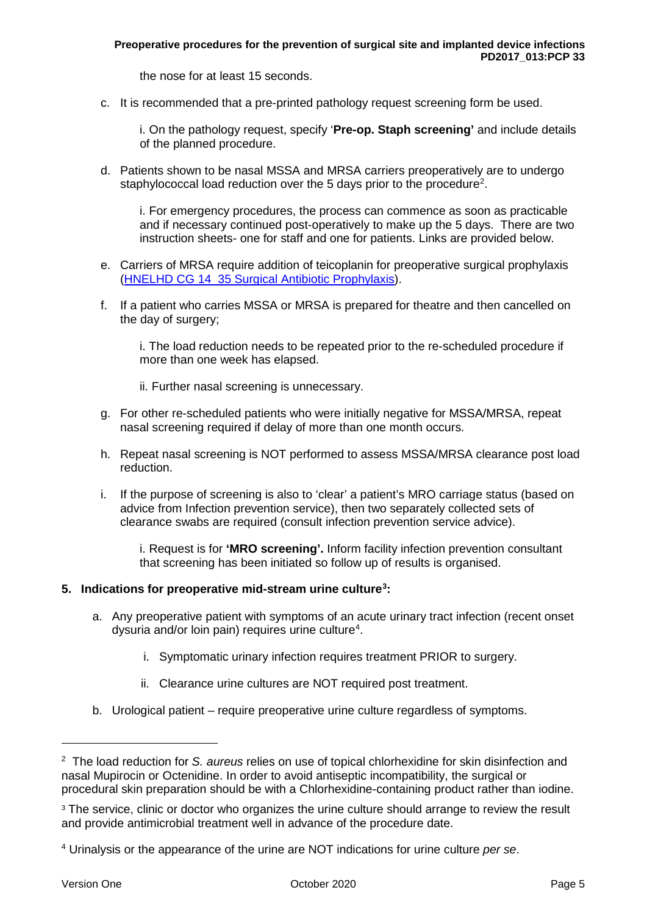the nose for at least 15 seconds.

c. It is recommended that a pre-printed pathology request screening form be used.

i. On the pathology request, specify '**Pre-op. Staph screening'** and include details of the planned procedure.

d. Patients shown to be nasal MSSA and MRSA carriers preoperatively are to undergo staphylococcal load reduction over the 5 days prior to the procedure<sup>[2](#page-4-0)</sup>.

i. For emergency procedures, the process can commence as soon as practicable and if necessary continued post-operatively to make up the 5 days. There are two instruction sheets- one for staff and one for patients. Links are provided below.

- e. Carriers of MRSA require addition of teicoplanin for preoperative surgical prophylaxis (HNELHD CG 14\_35 [Surgical Antibiotic Prophylaxis\)](http://intranet.hne.health.nsw.gov.au/__data/assets/pdf_file/0010/67780/HNELHD_CG_14_35_Surgical_Antibiotic_Prophylaxis.pdf).
- f. If a patient who carries MSSA or MRSA is prepared for theatre and then cancelled on the day of surgery:

i. The load reduction needs to be repeated prior to the re-scheduled procedure if more than one week has elapsed.

- ii. Further nasal screening is unnecessary.
- g. For other re-scheduled patients who were initially negative for MSSA/MRSA, repeat nasal screening required if delay of more than one month occurs.
- h. Repeat nasal screening is NOT performed to assess MSSA/MRSA clearance post load reduction.
- i. If the purpose of screening is also to 'clear' a patient's MRO carriage status (based on advice from Infection prevention service), then two separately collected sets of clearance swabs are required (consult infection prevention service advice).

i. Request is for **'MRO screening'.** Inform facility infection prevention consultant that screening has been initiated so follow up of results is organised.

# **5. Indications for preoperative mid-stream urine culture[3](#page-4-1) :**

- a. Any preoperative patient with symptoms of an acute urinary tract infection (recent onset dysuria and/or loin pain) requires urine culture<sup>[4](#page-4-2)</sup>.
	- i. Symptomatic urinary infection requires treatment PRIOR to surgery.
	- ii. Clearance urine cultures are NOT required post treatment.
- b. Urological patient require preoperative urine culture regardless of symptoms.

1

<span id="page-4-0"></span><sup>2</sup> The load reduction for *S. aureus* relies on use of topical chlorhexidine for skin disinfection and nasal Mupirocin or Octenidine. In order to avoid antiseptic incompatibility, the surgical or procedural skin preparation should be with a Chlorhexidine-containing product rather than iodine.

<span id="page-4-1"></span><sup>&</sup>lt;sup>3</sup> The service, clinic or doctor who organizes the urine culture should arrange to review the result and provide antimicrobial treatment well in advance of the procedure date.

<span id="page-4-2"></span><sup>4</sup> Urinalysis or the appearance of the urine are NOT indications for urine culture *per se*.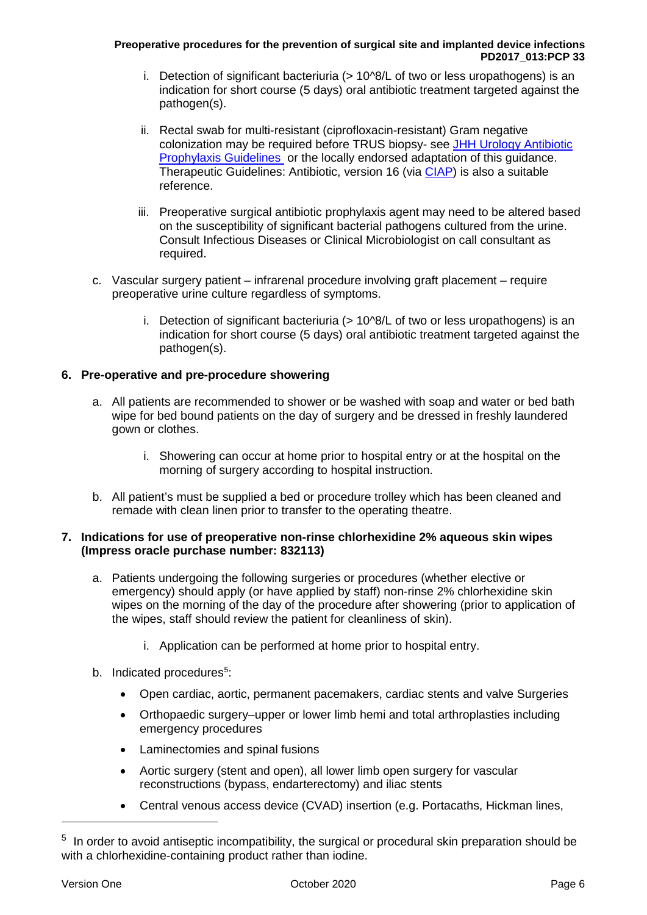#### **Preoperative procedures for the prevention of surgical site and implanted device infections PD2017\_013:PCP 33**

- i. Detection of significant bacteriuria (> 10^8/L of two or less uropathogens) is an indication for short course (5 days) oral antibiotic treatment targeted against the pathogen(s).
- ii. Rectal swab for multi-resistant (ciprofloxacin-resistant) Gram negative colonization may be required before TRUS biopsy- see [JHH Urology Antibiotic](http://intranet.hne.health.nsw.gov.au/__data/assets/pdf_file/0007/166147/JHH_JHCH_0116_Urology_antibiotic_prophylaxis.pdf)  [Prophylaxis Guidelines](http://intranet.hne.health.nsw.gov.au/__data/assets/pdf_file/0007/166147/JHH_JHCH_0116_Urology_antibiotic_prophylaxis.pdf) or the locally endorsed adaptation of this guidance. Therapeutic Guidelines: Antibiotic, version 16 (via [CIAP\)](https://www.ciap.health.nsw.gov.au/) is also a suitable reference.
- iii. Preoperative surgical antibiotic prophylaxis agent may need to be altered based on the susceptibility of significant bacterial pathogens cultured from the urine. Consult Infectious Diseases or Clinical Microbiologist on call consultant as required.
- c. Vascular surgery patient infrarenal procedure involving graft placement require preoperative urine culture regardless of symptoms.
	- i. Detection of significant bacteriuria (> 10^8/L of two or less uropathogens) is an indication for short course (5 days) oral antibiotic treatment targeted against the pathogen(s).

# **6. Pre-operative and pre-procedure showering**

- a. All patients are recommended to shower or be washed with soap and water or bed bath wipe for bed bound patients on the day of surgery and be dressed in freshly laundered gown or clothes.
	- i. Showering can occur at home prior to hospital entry or at the hospital on the morning of surgery according to hospital instruction.
- b. All patient's must be supplied a bed or procedure trolley which has been cleaned and remade with clean linen prior to transfer to the operating theatre.

# **7. Indications for use of preoperative non-rinse chlorhexidine 2% aqueous skin wipes (Impress oracle purchase number: 832113)**

- a. Patients undergoing the following surgeries or procedures (whether elective or emergency) should apply (or have applied by staff) non-rinse 2% chlorhexidine skin wipes on the morning of the day of the procedure after showering (prior to application of the wipes, staff should review the patient for cleanliness of skin).
	- i. Application can be performed at home prior to hospital entry.
- b. Indicated procedures<sup>[5](#page-5-0)</sup>:
	- Open cardiac, aortic, permanent pacemakers, cardiac stents and valve Surgeries
	- Orthopaedic surgery–upper or lower limb hemi and total arthroplasties including emergency procedures
	- Laminectomies and spinal fusions
	- Aortic surgery (stent and open), all lower limb open surgery for vascular reconstructions (bypass, endarterectomy) and iliac stents
	- Central venous access device (CVAD) insertion (e.g. Portacaths, Hickman lines,

-

<span id="page-5-0"></span><sup>&</sup>lt;sup>5</sup> In order to avoid antiseptic incompatibility, the surgical or procedural skin preparation should be with a chlorhexidine-containing product rather than iodine.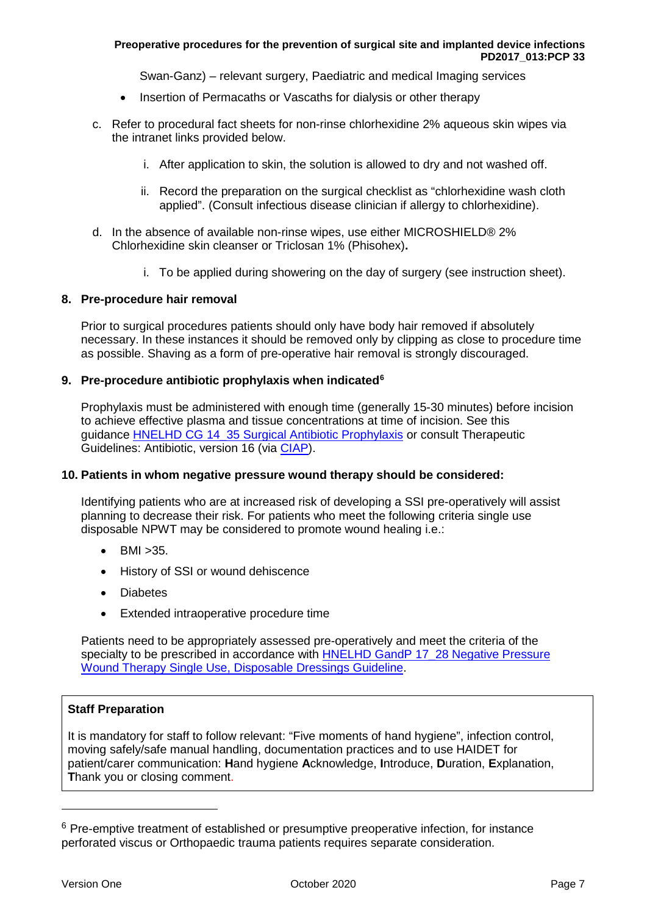Swan-Ganz) – relevant surgery, Paediatric and medical Imaging services

- Insertion of Permacaths or Vascaths for dialysis or other therapy
- c. Refer to procedural fact sheets for non-rinse chlorhexidine 2% aqueous skin wipes via the intranet links provided below.
	- i. After application to skin, the solution is allowed to dry and not washed off.
	- ii. Record the preparation on the surgical checklist as "chlorhexidine wash cloth applied". (Consult infectious disease clinician if allergy to chlorhexidine).
- d. In the absence of available non-rinse wipes, use either MICROSHIELD® 2% Chlorhexidine skin cleanser or Triclosan 1% (Phisohex)**.**
	- i. To be applied during showering on the day of surgery (see instruction sheet).

#### **8. Pre-procedure hair removal**

Prior to surgical procedures patients should only have body hair removed if absolutely necessary. In these instances it should be removed only by clipping as close to procedure time as possible. Shaving as a form of pre-operative hair removal is strongly discouraged.

#### **9. Pre-procedure antibiotic prophylaxis when indicated[6](#page-6-0)**

Prophylaxis must be administered with enough time (generally 15-30 minutes) before incision to achieve effective plasma and tissue concentrations at time of incision. See this guidance [HNELHD CG 14\\_35 Surgical Antibiotic Prophylaxis](http://intranet.hne.health.nsw.gov.au/__data/assets/pdf_file/0010/67780/HNELHD_CG_14_35_Surgical_Antibiotic_Prophylaxis.pdf) or consult Therapeutic Guidelines: Antibiotic, version 16 (via [CIAP\)](https://www.ciap.health.nsw.gov.au/).

#### **10. Patients in whom negative pressure wound therapy should be considered:**

Identifying patients who are at increased risk of developing a SSI pre-operatively will assist planning to decrease their risk. For patients who meet the following criteria single use disposable NPWT may be considered to promote wound healing i.e.:

- BMI >35.
- History of SSI or wound dehiscence
- Diabetes
- Extended intraoperative procedure time

Patients need to be appropriately assessed pre-operatively and meet the criteria of the specialty to be prescribed in accordance with HNELHD GandP 17\_28 Negative Pressure [Wound Therapy Single Use, Disposable Dressings Guideline.](http://intranet.hne.health.nsw.gov.au/__data/assets/pdf_file/0004/170581/HNELHD_GandP_17_28_-_NPWT_Single_Use_Disposable_Dressing.pdf)

# **Staff Preparation**

It is mandatory for staff to follow relevant: "Five moments of hand hygiene", infection control, moving safely/safe manual handling, documentation practices and to use HAIDET for patient/carer communication: **H**and hygiene **A**cknowledge, **I**ntroduce, **D**uration, **E**xplanation, **T**hank you or closing comment.

-

<span id="page-6-0"></span> $6$  Pre-emptive treatment of established or presumptive preoperative infection, for instance perforated viscus or Orthopaedic trauma patients requires separate consideration.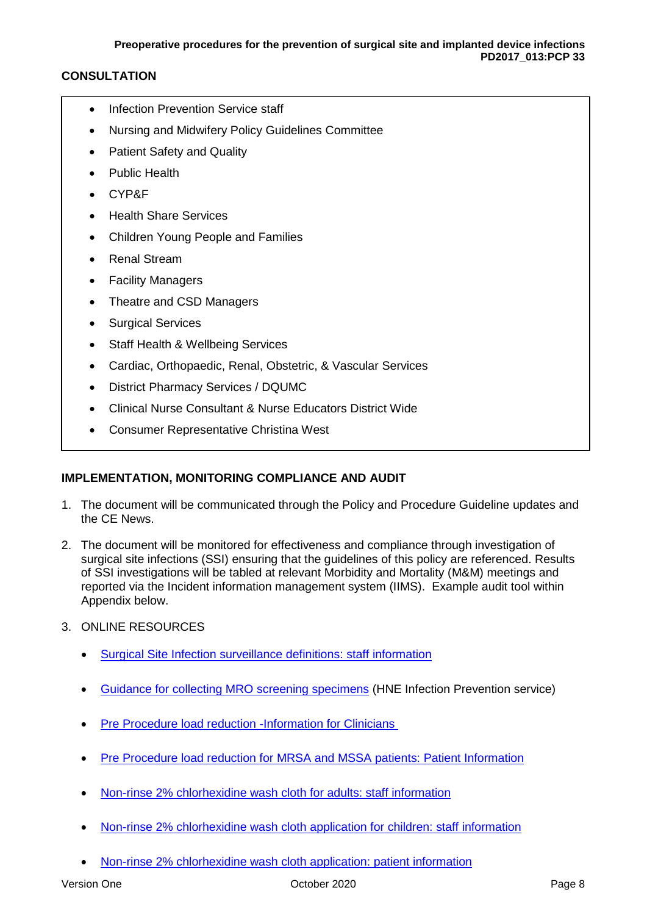# **CONSULTATION**

- Infection Prevention Service staff
- Nursing and Midwifery Policy Guidelines Committee
- Patient Safety and Quality
- Public Health
- CYP&F
- Health Share Services
- Children Young People and Families
- Renal Stream
- **Facility Managers**
- Theatre and CSD Managers
- Surgical Services
- **Staff Health & Wellbeing Services**
- Cardiac, Orthopaedic, Renal, Obstetric, & Vascular Services
- District Pharmacy Services / DQUMC
- Clinical Nurse Consultant & Nurse Educators District Wide
- Consumer Representative Christina West

# **IMPLEMENTATION, MONITORING COMPLIANCE AND AUDIT**

- 1. The document will be communicated through the Policy and Procedure Guideline updates and the CE News.
- 2. The document will be monitored for effectiveness and compliance through investigation of surgical site infections (SSI) ensuring that the guidelines of this policy are referenced. Results of SSI investigations will be tabled at relevant Morbidity and Mortality (M&M) meetings and reported via the Incident information management system (IIMS). Example audit tool within Appendix below.
- 3. ONLINE RESOURCES
	- [Surgical Site Infection surveillance definitions: staff information](http://intranet.hne.health.nsw.gov.au/__data/assets/pdf_file/0005/187754/Surgical_Site_Infection_Surveillance_IPS-011-FACT-1.1.pdf)
	- Guidance for collecting MRO screening specimens (HNE Infection Prevention service)
	- [Pre Procedure load reduction -Information for Clinicians](http://intranet.hne.health.nsw.gov.au/__data/assets/pdf_file/0005/379292/IPS-003-FACT-1.2_Pre_Procedure_staphylococcal_load_reduction_-_Information_for_clinicans_V2.docx.pdf)
	- [Pre Procedure load reduction for MRSA and MSSA patients: Patient Information](http://intranet.hne.health.nsw.gov.au/__data/assets/pdf_file/0004/379291/IPS-036-FACT-1.5_Pre_Procedure_Staph._load_reduction_before_a_procedure_Patient_Information_V2.pdf)
	- [Non-rinse 2% chlorhexidine wash cloth for adults: staff information](http://intranet.hne.health.nsw.gov.au/__data/assets/pdf_file/0008/187748/Chlorhexidine_Wash_Cloth_Staff_Information_IPS-023-FACT-1.2.pdf)
	- [Non-rinse 2% chlorhexidine wash cloth application for children: staff information](http://intranet.hne.health.nsw.gov.au/__data/assets/pdf_file/0008/197369/IPS-035-FACT-1.0_Chlorhexidine_wash_cloths_Staff_information_Peads.pdf)
	- [Non-rinse 2% chlorhexidine wash cloth application: patient information](http://intranet.hne.health.nsw.gov.au/__data/assets/pdf_file/0009/187749/Cleansing_your_skin_before_a_procedure_or_surgery_using_Chlorhexidine_wa....pdf)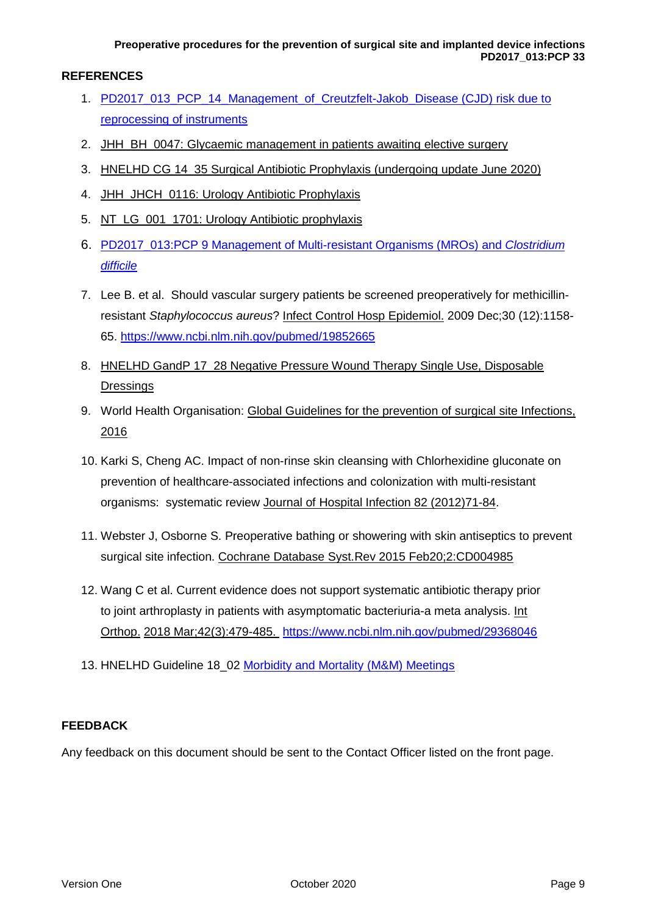# **REFERENCES**

- 1. [PD2017\\_013\\_PCP\\_14\\_Management\\_of\\_Creutzfelt-Jakob\\_Disease](http://intranet.hne.health.nsw.gov.au/__data/assets/pdf_file/0006/40875/PD2017_013_PCP_14_Management_of_Creutzfelt-Jakob_Disease.pdf) (CJD) risk due to reprocessing of instruments
- 2. [JHH\\_BH\\_0047: Glycaemic management in patients awaiting elective surgery](http://intranet.hne.health.nsw.gov.au/__data/assets/pdf_file/0003/153939/JHH_BH_0047_Glycaemic_management_pre_elective_surgery.pdf)
- 3. [HNELHD CG 14\\_35 Surgical Antibiotic Prophylaxis](http://intranet.hne.health.nsw.gov.au/__data/assets/pdf_file/0010/67780/HNELHD_CG_14_35_Surgical_Antibiotic_Prophylaxis.pdf) (undergoing update June 2020)
- 4. JHH\_JHCH\_0116: Urology Antibiotic Prophylaxis
- 5. [NT\\_LG\\_001\\_1701: Urology Antibiotic prophylaxis](http://intranet.hne.health.nsw.gov.au/__data/assets/pdf_file/0019/172234/NT_GL_001_1710_Urology_Antibiotic_Prophylaxis.pdf)
- 6. PD2017\_013:PCP 9 [Management of Multi-resistant Organisms \(MROs\) and](http://intranet.hne.health.nsw.gov.au/__data/assets/pdf_file/0012/120153/PD2017_013_PCP_9_Management_of_Multi-Resistant_Organisms_MROs_and_Clostridium_difficile_v4.pdf) *Clostridium [difficile](http://intranet.hne.health.nsw.gov.au/__data/assets/pdf_file/0012/120153/PD2017_013_PCP_9_Management_of_Multi-Resistant_Organisms_MROs_and_Clostridium_difficile_v4.pdf)*
- 7. Lee B. et al. Should vascular surgery patients be screened preoperatively for methicillinresistant *Staphylococcus aureus*? [Infect Control Hosp Epidemiol.](https://www.ncbi.nlm.nih.gov/pubmed/19852665) 2009 Dec;30 (12):1158- 65.<https://www.ncbi.nlm.nih.gov/pubmed/19852665>
- 8. HNELHD GandP 17\_28 Negative Pressure Wound Therapy Single Use, Disposable **[Dressings](http://intranet.hne.health.nsw.gov.au/__data/assets/pdf_file/0004/170581/HNELHD_GandP_17_28_-_NPWT_Single_Use_Disposable_Dressing.pdf)**
- 9. World Health Organisation: [Global Guidelines for the prevention of surgical site Infections,](https://www.who.int/gpsc/ssi-guidelines/en/)  [2016](https://www.who.int/gpsc/ssi-guidelines/en/)
- 10. Karki S, Cheng AC. Impact of non-rinse skin cleansing with Chlorhexidine gluconate on prevention of healthcare-associated infections and colonization with multi-resistant organisms: systematic review [Journal of Hospital Infection 82 \(2012\)71-84.](https://www.sciencedirect.com/science/article/pii/S0195670112002186?via%3Dihub)
- 11. Webster J, Osborne S. Preoperative bathing or showering with skin antiseptics to prevent surgical site infection. [Cochrane Database Syst.Rev 2015 Feb20;2:CD004985](https://www.cochrane.org/CD004985/WOUNDS_preoperative-bathing-or-showering-with-skin-antiseptics-to-prevent-surgical-site-infection)
- 12. Wang C et al. Current evidence does not support systematic antibiotic therapy prior to joint arthroplasty in patients with asymptomatic bacteriuria-a meta analysis. [Int](https://www.ncbi.nlm.nih.gov/pubmed/29368046)  [Orthop.](https://www.ncbi.nlm.nih.gov/pubmed/29368046) [2018 Mar;42\(3\):479-485.](https://www.ncbi.nlm.nih.gov/pubmed/29368046) <https://www.ncbi.nlm.nih.gov/pubmed/29368046>
- 13. HNELHD Guideline 18 02 [Morbidity and Mortality \(M&M\) Meetings](http://intranet.hne.health.nsw.gov.au/__data/assets/pdf_file/0003/125571/HNELHD_Guideline_18_02_Morbidity_and_Mortality_Meetings.pdf)

# **FEEDBACK**

Any feedback on this document should be sent to the Contact Officer listed on the front page.